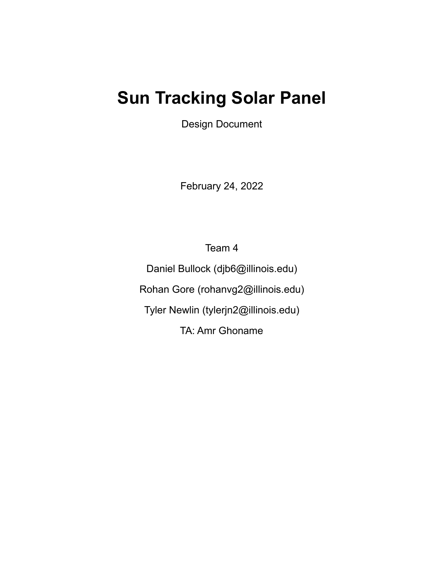# **Sun Tracking Solar Panel**

Design Document

February 24, 2022

Team 4

Daniel Bullock (djb6@illinois.edu) Rohan Gore (rohanvg2@illinois.edu) Tyler Newlin (tylerjn2@illinois.edu) TA: Amr Ghoname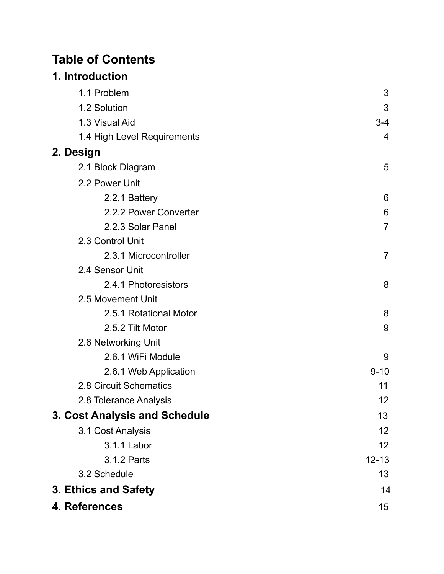## **Table of Contents**

## **1. Introduction**

| 1.1 Problem                   | 3              |
|-------------------------------|----------------|
| 1.2 Solution                  | 3              |
| 1.3 Visual Aid                | $3 - 4$        |
| 1.4 High Level Requirements   | 4              |
| 2. Design                     |                |
| 2.1 Block Diagram             | 5              |
| 2.2 Power Unit                |                |
| 2.2.1 Battery                 | 6              |
| 2.2.2 Power Converter         | 6              |
| 2.2.3 Solar Panel             | $\overline{7}$ |
| 2.3 Control Unit              |                |
| 2.3.1 Microcontroller         | $\overline{7}$ |
| 2.4 Sensor Unit               |                |
| 2.4.1 Photoresistors          | 8              |
| 2.5 Movement Unit             |                |
| 2.5.1 Rotational Motor        | 8              |
| 2.5.2 Tilt Motor              | 9              |
| 2.6 Networking Unit           |                |
| 2.6.1 WiFi Module             | 9              |
| 2.6.1 Web Application         | $9 - 10$       |
| 2.8 Circuit Schematics        | 11             |
| 2.8 Tolerance Analysis        | 12             |
| 3. Cost Analysis and Schedule | 13             |
| 3.1 Cost Analysis             | 12             |
| 3.1.1 Labor                   | 12             |
| 3.1.2 Parts                   | $12 - 13$      |
| 3.2 Schedule                  | 13             |
| 3. Ethics and Safety          | 14             |
| 4. References                 | 15             |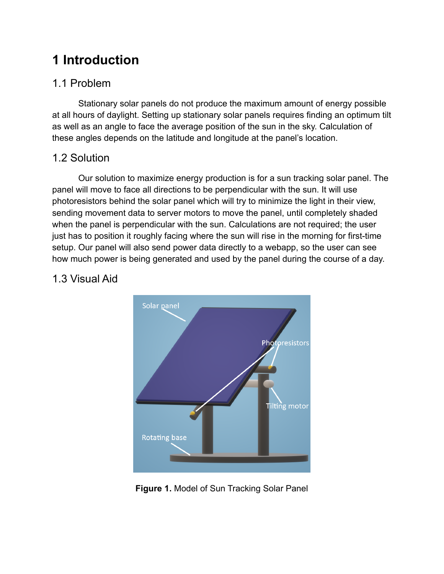# **1 Introduction**

### 1.1 Problem

Stationary solar panels do not produce the maximum amount of energy possible at all hours of daylight. Setting up stationary solar panels requires finding an optimum tilt as well as an angle to face the average position of the sun in the sky. Calculation of these angles depends on the latitude and longitude at the panel's location.

### 1.2 Solution

Our solution to maximize energy production is for a sun tracking solar panel. The panel will move to face all directions to be perpendicular with the sun. It will use photoresistors behind the solar panel which will try to minimize the light in their view, sending movement data to server motors to move the panel, until completely shaded when the panel is perpendicular with the sun. Calculations are not required; the user just has to position it roughly facing where the sun will rise in the morning for first-time setup. Our panel will also send power data directly to a webapp, so the user can see how much power is being generated and used by the panel during the course of a day.

### 1.3 Visual Aid



**Figure 1.** Model of Sun Tracking Solar Panel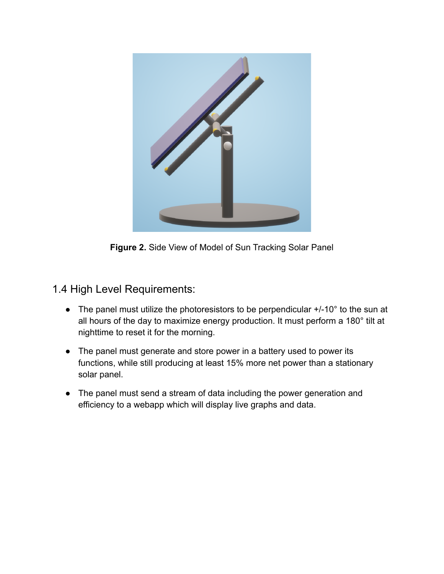

**Figure 2.** Side View of Model of Sun Tracking Solar Panel

#### 1.4 High Level Requirements:

- The panel must utilize the photoresistors to be perpendicular +/-10° to the sun at all hours of the day to maximize energy production. It must perform a 180° tilt at nighttime to reset it for the morning.
- The panel must generate and store power in a battery used to power its functions, while still producing at least 15% more net power than a stationary solar panel.
- The panel must send a stream of data including the power generation and efficiency to a webapp which will display live graphs and data.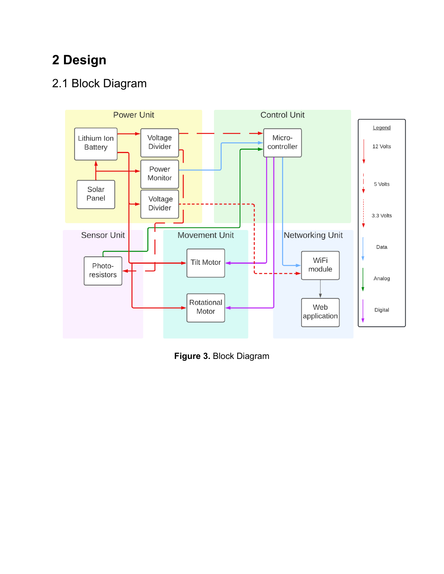# **2 Design**

## 2.1 Block Diagram



**Figure 3.** Block Diagram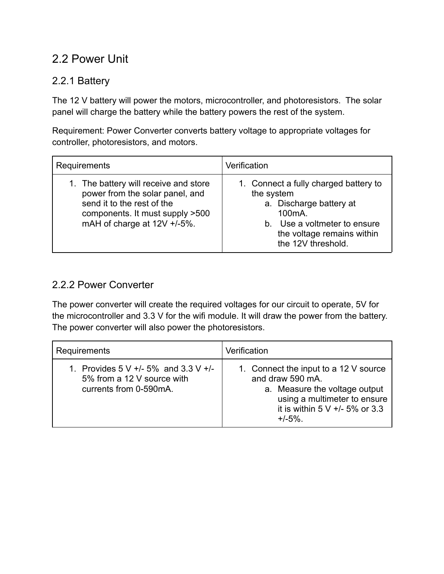### 2.2 Power Unit

#### 2.2.1 Battery

The 12 V battery will power the motors, microcontroller, and photoresistors. The solar panel will charge the battery while the battery powers the rest of the system.

Requirement: Power Converter converts battery voltage to appropriate voltages for controller, photoresistors, and motors.

| Requirements                                                                                                                                                             | Verification                                                                                                                                                                              |
|--------------------------------------------------------------------------------------------------------------------------------------------------------------------------|-------------------------------------------------------------------------------------------------------------------------------------------------------------------------------------------|
| 1. The battery will receive and store<br>power from the solar panel, and<br>send it to the rest of the<br>components. It must supply >500<br>mAH of charge at 12V +/-5%. | 1. Connect a fully charged battery to<br>the system<br>a. Discharge battery at<br>100 <sub>m</sub> A.<br>b. Use a voltmeter to ensure<br>the voltage remains within<br>the 12V threshold. |

#### 2.2.2 Power Converter

The power converter will create the required voltages for our circuit to operate, 5V for the microcontroller and 3.3 V for the wifi module. It will draw the power from the battery. The power converter will also power the photoresistors.

| Requirements                                                                                      | Verification                                                                                                                                                              |
|---------------------------------------------------------------------------------------------------|---------------------------------------------------------------------------------------------------------------------------------------------------------------------------|
| 1. Provides $5 V +/- 5\%$ and $3.3 V +/-$<br>5% from a 12 V source with<br>currents from 0-590mA. | 1. Connect the input to a 12 V source<br>and draw 590 mA.<br>a. Measure the voltage output<br>using a multimeter to ensure<br>it is within $5 V +/- 5%$ or 3.3<br>$+/-5%$ |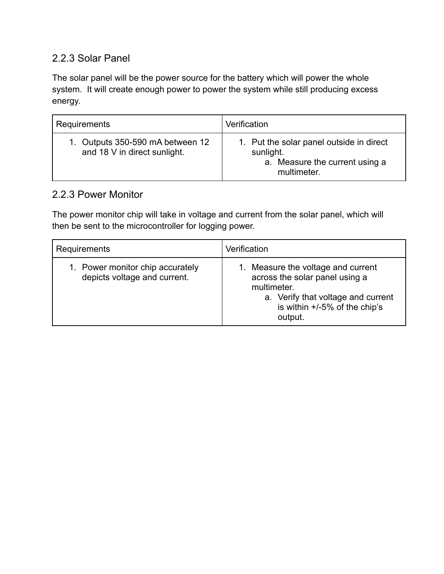#### 2.2.3 Solar Panel

The solar panel will be the power source for the battery which will power the whole system. It will create enough power to power the system while still producing excess energy.

| Requirements                                                     | Verification                                                                                           |
|------------------------------------------------------------------|--------------------------------------------------------------------------------------------------------|
| 1. Outputs 350-590 mA between 12<br>and 18 V in direct sunlight. | 1. Put the solar panel outside in direct<br>sunlight.<br>a. Measure the current using a<br>multimeter. |

#### 2.2.3 Power Monitor

The power monitor chip will take in voltage and current from the solar panel, which will then be sent to the microcontroller for logging power.

| Requirements                                                     | Verification                                                                                                                                                             |
|------------------------------------------------------------------|--------------------------------------------------------------------------------------------------------------------------------------------------------------------------|
| 1. Power monitor chip accurately<br>depicts voltage and current. | 1. Measure the voltage and current<br>across the solar panel using a<br>multimeter.<br>a. Verify that voltage and current<br>is within $+/-5\%$ of the chip's<br>output. |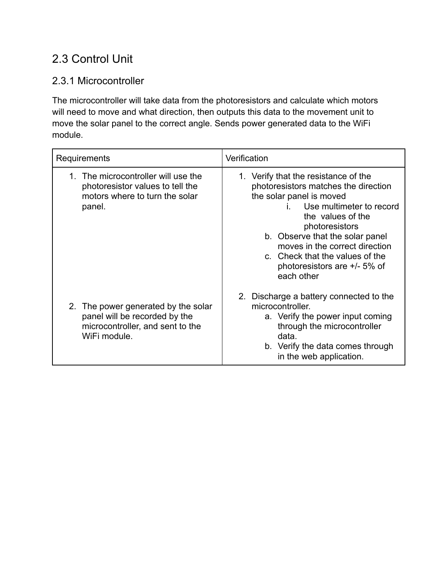## 2.3 Control Unit

#### 2.3.1 Microcontroller

The microcontroller will take data from the photoresistors and calculate which motors will need to move and what direction, then outputs this data to the movement unit to move the solar panel to the correct angle. Sends power generated data to the WiFi module.

| Requirements                                                                                                                | Verification                                                                                                                                                                                                                                                                                                                      |
|-----------------------------------------------------------------------------------------------------------------------------|-----------------------------------------------------------------------------------------------------------------------------------------------------------------------------------------------------------------------------------------------------------------------------------------------------------------------------------|
| 1. The microcontroller will use the<br>photoresistor values to tell the<br>motors where to turn the solar<br>panel.         | 1. Verify that the resistance of the<br>photoresistors matches the direction<br>the solar panel is moved<br>Use multimeter to record<br>the values of the<br>photoresistors<br>b. Observe that the solar panel<br>moves in the correct direction<br>c. Check that the values of the<br>photoresistors are +/- 5% of<br>each other |
| The power generated by the solar<br>2.<br>panel will be recorded by the<br>microcontroller, and sent to the<br>WiFi module. | 2. Discharge a battery connected to the<br>microcontroller.<br>a. Verify the power input coming<br>through the microcontroller<br>data.<br>b. Verify the data comes through<br>in the web application.                                                                                                                            |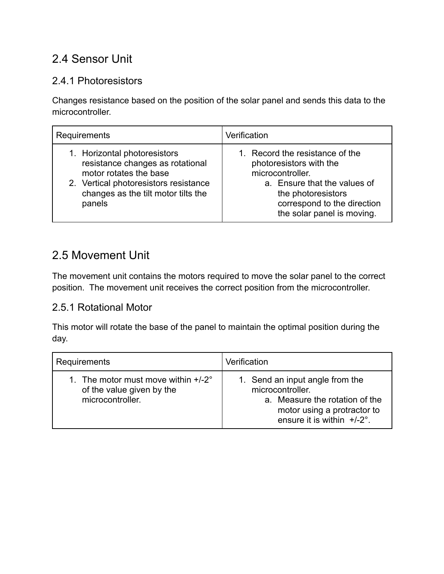### 2.4 Sensor Unit

#### 2.4.1 Photoresistors

Changes resistance based on the position of the solar panel and sends this data to the microcontroller.

| Requirements                                                                                                                                                                         | Verification                                                                                                                                                                                      |
|--------------------------------------------------------------------------------------------------------------------------------------------------------------------------------------|---------------------------------------------------------------------------------------------------------------------------------------------------------------------------------------------------|
| 1. Horizontal photoresistors<br>resistance changes as rotational<br>motor rotates the base<br>2. Vertical photoresistors resistance<br>changes as the tilt motor tilts the<br>panels | 1. Record the resistance of the<br>photoresistors with the<br>microcontroller.<br>a. Ensure that the values of<br>the photoresistors<br>correspond to the direction<br>the solar panel is moving. |

## 2.5 Movement Unit

The movement unit contains the motors required to move the solar panel to the correct position. The movement unit receives the correct position from the microcontroller.

#### 2.5.1 Rotational Motor

This motor will rotate the base of the panel to maintain the optimal position during the day.

| Requirements                                                                            | Verification                                                                                                                                          |
|-----------------------------------------------------------------------------------------|-------------------------------------------------------------------------------------------------------------------------------------------------------|
| 1. The motor must move within $+/-2$ °<br>of the value given by the<br>microcontroller. | 1. Send an input angle from the<br>microcontroller.<br>a. Measure the rotation of the<br>motor using a protractor to<br>ensure it is within $+/-2$ °. |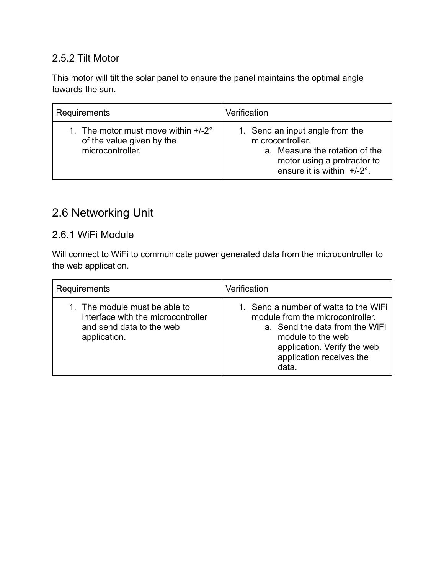#### 2.5.2 Tilt Motor

This motor will tilt the solar panel to ensure the panel maintains the optimal angle towards the sun.

| <b>Requirements</b>                                                                     | Verification                                                                                                                                          |
|-----------------------------------------------------------------------------------------|-------------------------------------------------------------------------------------------------------------------------------------------------------|
| 1. The motor must move within $+/-2$ °<br>of the value given by the<br>microcontroller. | 1. Send an input angle from the<br>microcontroller.<br>a. Measure the rotation of the<br>motor using a protractor to<br>ensure it is within $+/-2$ °. |

### 2.6 Networking Unit

#### 2.6.1 WiFi Module

Will connect to WiFi to communicate power generated data from the microcontroller to the web application.

| Requirements                                                                                                    | Verification                                                                                                                                                                                         |
|-----------------------------------------------------------------------------------------------------------------|------------------------------------------------------------------------------------------------------------------------------------------------------------------------------------------------------|
| 1. The module must be able to<br>interface with the microcontroller<br>and send data to the web<br>application. | 1. Send a number of watts to the WiFi<br>module from the microcontroller.<br>a. Send the data from the WiFi<br>module to the web<br>application. Verify the web<br>application receives the<br>data. |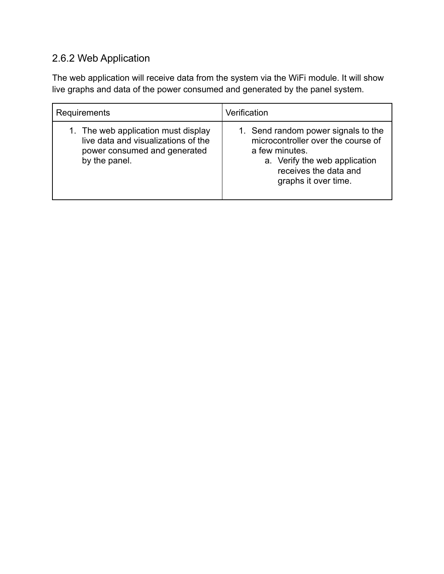## 2.6.2 Web Application

The web application will receive data from the system via the WiFi module. It will show live graphs and data of the power consumed and generated by the panel system.

| Requirements                                                                                                                | Verification                                                                                                                                                                  |
|-----------------------------------------------------------------------------------------------------------------------------|-------------------------------------------------------------------------------------------------------------------------------------------------------------------------------|
| 1. The web application must display<br>live data and visualizations of the<br>power consumed and generated<br>by the panel. | 1. Send random power signals to the<br>microcontroller over the course of<br>a few minutes.<br>a. Verify the web application<br>receives the data and<br>graphs it over time. |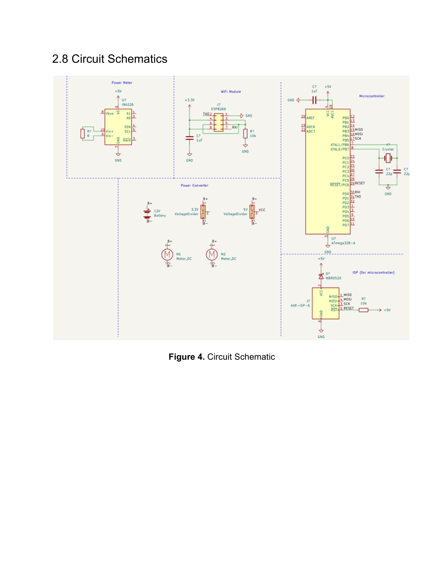## 2.8 Circuit Schematics



**Figure 4.** Circuit Schematic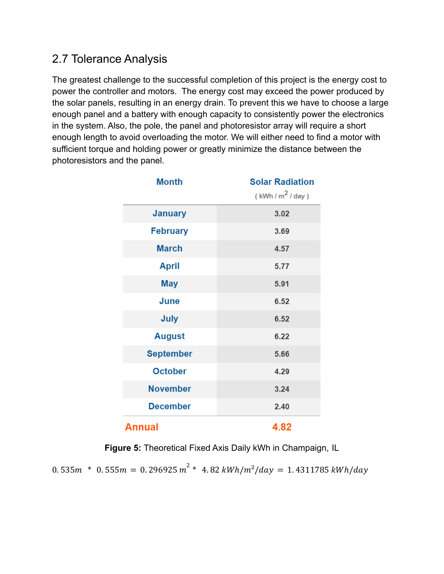### 2.7 Tolerance Analysis

The greatest challenge to the successful completion of this project is the energy cost to power the controller and motors. The energy cost may exceed the power produced by the solar panels, resulting in an energy drain. To prevent this we have to choose a large enough panel and a battery with enough capacity to consistently power the electronics in the system. Also, the pole, the panel and photoresistor array will require a short enough length to avoid overloading the motor. We will either need to find a motor with sufficient torque and holding power or greatly minimize the distance between the photoresistors and the panel.

| <b>Month</b>     | <b>Solar Radiation</b> |
|------------------|------------------------|
|                  | (kWh / $m^2$ / day)    |
| <b>January</b>   | 3.02                   |
| <b>February</b>  | 3.69                   |
| <b>March</b>     | 4.57                   |
| <b>April</b>     | 5.77                   |
| <b>May</b>       | 5.91                   |
| June             | 6.52                   |
| <b>July</b>      | 6.52                   |
| <b>August</b>    | 6.22                   |
| <b>September</b> | 5.66                   |
| <b>October</b>   | 4.29                   |
| <b>November</b>  | 3.24                   |
| <b>December</b>  | 2.40                   |
| Annual           | 4.82                   |

**Figure 5:** Theoretical Fixed Axis Daily kWh in Champaign, IL

 $0.535 m$  \*  $0.555 m = 0.296925 m^2$  \*  $4.82 \, kWh/m^2/day = 1.4311785 \, kWh/day$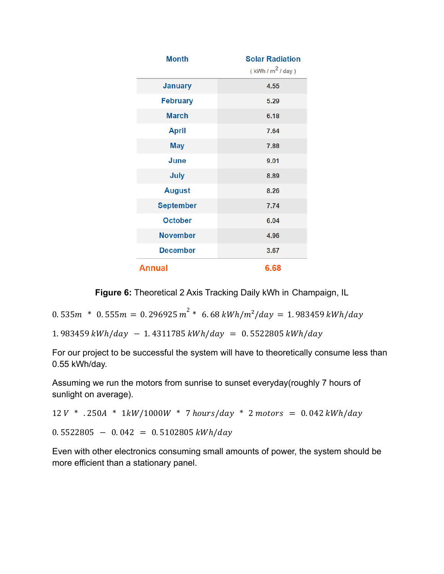| <b>Month</b>     | <b>Solar Radiation</b><br>(kWh/m <sup>2</sup> /day) |
|------------------|-----------------------------------------------------|
| <b>January</b>   | 4.55                                                |
| <b>February</b>  | 5.29                                                |
| <b>March</b>     | 6.18                                                |
| <b>April</b>     | 7.64                                                |
| <b>May</b>       | 7.88                                                |
| June             | 9.01                                                |
| July             | 8.89                                                |
| <b>August</b>    | 8.26                                                |
| <b>September</b> | 7.74                                                |
| <b>October</b>   | 6.04                                                |
| <b>November</b>  | 4.96                                                |
| <b>December</b>  | 3.67                                                |
| Annual           | 6.68                                                |

**Figure 6:** Theoretical 2 Axis Tracking Daily kWh in Champaign, IL

0. 535 $m * 0.555m = 0.296925 m^2 * 6.68 kWh/m^2/day = 1.983459 kWh/day$ 

 $1.983459 \, kWh/day - 1.4311785 \, kWh/day = 0.5522805 \, kWh/day$ 

For our project to be successful the system will have to theoretically consume less than 0.55 kWh/day.

Assuming we run the motors from sunrise to sunset everyday(roughly 7 hours of sunlight on average).

 $12 V$  \*  $.250A$  \*  $1 kW/1000W$  \* 7 hours/day \* 2 motors = 0.042 kWh/day  $0.5522805 - 0.042 = 0.5102805 \frac{kWh/day}{ }$ 

Even with other electronics consuming small amounts of power, the system should be more efficient than a stationary panel.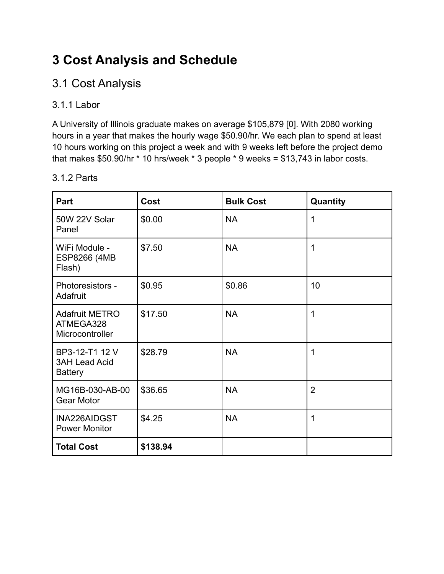# **3 Cost Analysis and Schedule**

### 3.1 Cost Analysis

#### 3.1.1 Labor

A University of Illinois graduate makes on average \$105,879 [0]. With 2080 working hours in a year that makes the hourly wage \$50.90/hr. We each plan to spend at least 10 hours working on this project a week and with 9 weeks left before the project demo that makes \$50.90/hr \* 10 hrs/week \* 3 people \* 9 weeks = \$13,743 in labor costs.

| Part                                                     | Cost     | <b>Bulk Cost</b> | Quantity       |
|----------------------------------------------------------|----------|------------------|----------------|
| 50W 22V Solar<br>Panel                                   | \$0.00   | <b>NA</b>        | 1              |
| WiFi Module -<br>ESP8266 (4MB<br>Flash)                  | \$7.50   | <b>NA</b>        | 1              |
| Photoresistors -<br>Adafruit                             | \$0.95   | \$0.86           | 10             |
| <b>Adafruit METRO</b><br>ATMEGA328<br>Microcontroller    | \$17.50  | <b>NA</b>        | 1              |
| BP3-12-T1 12 V<br><b>3AH Lead Acid</b><br><b>Battery</b> | \$28.79  | <b>NA</b>        | 1              |
| MG16B-030-AB-00<br><b>Gear Motor</b>                     | \$36.65  | <b>NA</b>        | $\overline{2}$ |
| INA226AIDGST<br><b>Power Monitor</b>                     | \$4.25   | <b>NA</b>        | 1              |
| <b>Total Cost</b>                                        | \$138.94 |                  |                |

#### 3.1.2 Parts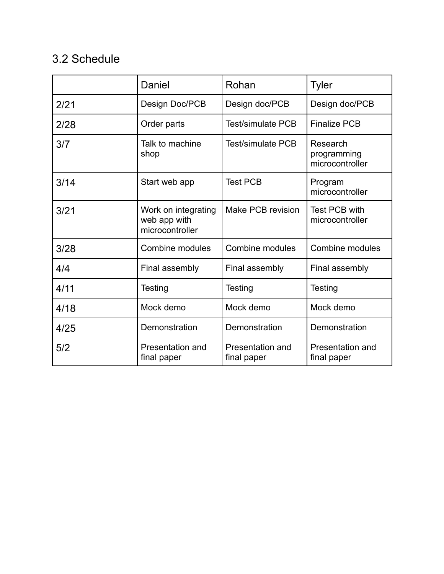## 3.2 Schedule

|      | Daniel                                                 | Rohan                           | <b>Tyler</b>                               |
|------|--------------------------------------------------------|---------------------------------|--------------------------------------------|
| 2/21 | Design Doc/PCB                                         | Design doc/PCB                  | Design doc/PCB                             |
| 2/28 | Order parts                                            | <b>Test/simulate PCB</b>        | <b>Finalize PCB</b>                        |
| 3/7  | Talk to machine<br>shop                                | Test/simulate PCB               | Research<br>programming<br>microcontroller |
| 3/14 | Start web app                                          | <b>Test PCB</b>                 | Program<br>microcontroller                 |
| 3/21 | Work on integrating<br>web app with<br>microcontroller | Make PCB revision               | Test PCB with<br>microcontroller           |
| 3/28 | Combine modules                                        | Combine modules                 | Combine modules                            |
| 4/4  | Final assembly                                         | Final assembly                  | Final assembly                             |
| 4/11 | Testing                                                | Testing                         | Testing                                    |
| 4/18 | Mock demo                                              | Mock demo                       | Mock demo                                  |
| 4/25 | Demonstration                                          | Demonstration                   | Demonstration                              |
| 5/2  | Presentation and<br>final paper                        | Presentation and<br>final paper | Presentation and<br>final paper            |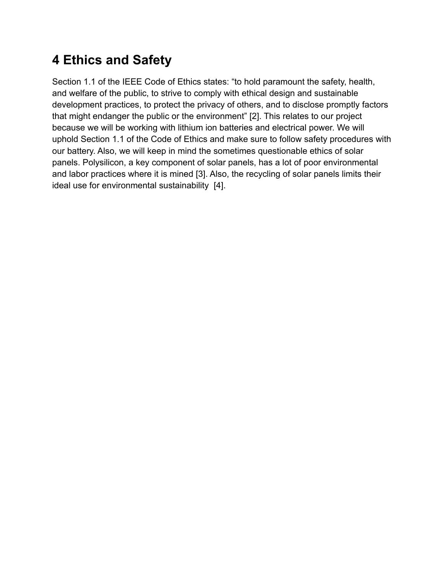# **4 Ethics and Safety**

Section 1.1 of the IEEE Code of Ethics states: "to hold paramount the safety, health, and welfare of the public, to strive to comply with ethical design and sustainable development practices, to protect the privacy of others, and to disclose promptly factors that might endanger the public or the environment" [2]. This relates to our project because we will be working with lithium ion batteries and electrical power. We will uphold Section 1.1 of the Code of Ethics and make sure to follow safety procedures with our battery. Also, we will keep in mind the sometimes questionable ethics of solar panels. Polysilicon, a key component of solar panels, has a lot of poor environmental and labor practices where it is mined [3]. Also, the recycling of solar panels limits their ideal use for environmental sustainability [4].